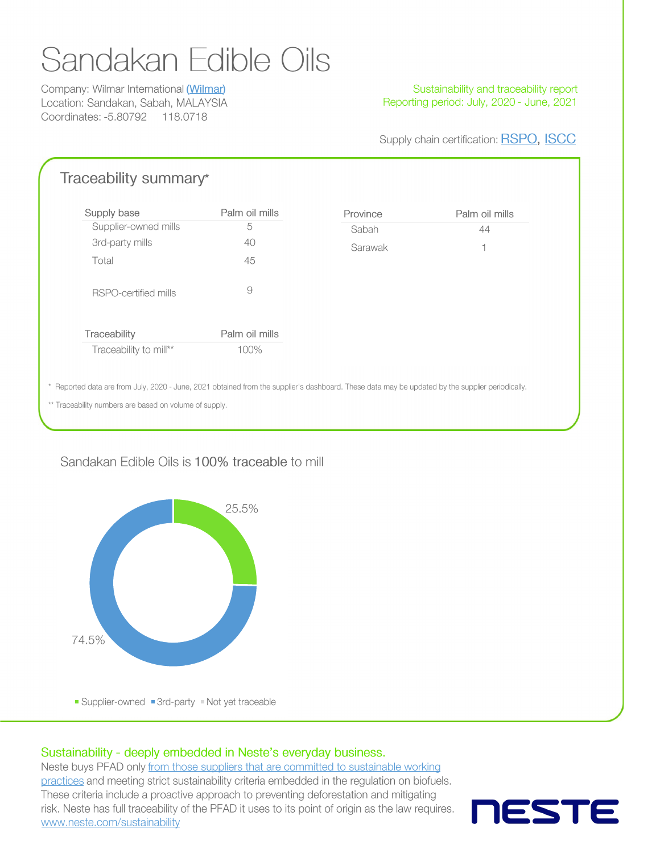# Sandakan Edible Oils

Company: Wilmar International (Wilmar) Location: Sandakan, Sabah, MALAYSIA Coordinates: -5.80792 118.0718

#### Sustainability and traceability report Reporting period: July, 2020 - June, 2021

Supply chain certification: RSPO, ISCC

| Supply base            | Palm oil mills | Province | Palm oil mills |
|------------------------|----------------|----------|----------------|
| Supplier-owned mills   | 5              | Sabah    | 44             |
| 3rd-party mills        | 40             | Sarawak  |                |
| Total                  | 45             |          |                |
| RSPO-certified mills   | 9              |          |                |
| Traceability           | Palm oil mills |          |                |
| Traceability to mill** | 100%           |          |                |
|                        |                |          |                |

### Sandakan Edible Oils is 100% traceable to mill



#### Sustainability - deeply embedded in Neste's everyday business.

Neste buys PFAD only from those suppliers that are committed to sustainable working practices and meeting strict sustainability criteria embedded in the regulation on biofuels. These criteria include a proactive approach to preventing deforestation and mitigating risk. Neste has full traceability of the PFAD it uses to its point of origin as the law requires. www.neste.com/sustainability

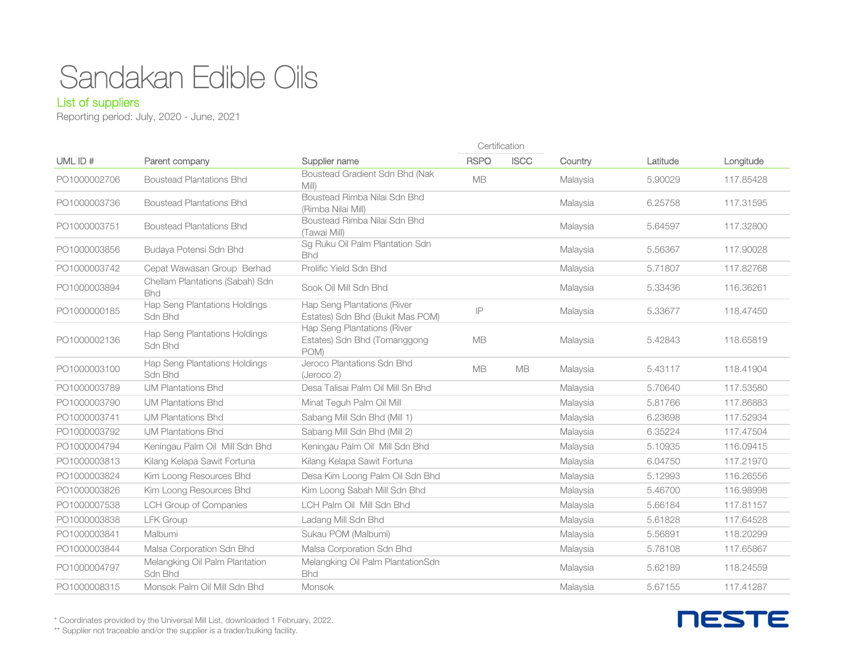## Sandakan Edible Oils

#### List of suppliers

Reporting period: July, 2020 - June, 2021

| UML ID#      |                                                 |                                                                     | Certification |             |          |          |           |
|--------------|-------------------------------------------------|---------------------------------------------------------------------|---------------|-------------|----------|----------|-----------|
|              | Parent company                                  | Supplier name                                                       | <b>RSPO</b>   | <b>ISCC</b> | Country  | Latitude | Longitude |
| PO1000002706 | <b>Boustead Plantations Bhd</b>                 | Boustead Gradient Sdn Bhd (Nak<br>Mill)                             | <b>MB</b>     |             | Malaysia | 5.90029  | 117.85428 |
| PO1000003736 | <b>Boustead Plantations Bhd</b>                 | Boustead Rimba Nilai Sdn Bhd<br>(Rimba Nilai Mill)                  |               |             | Malaysia | 6.25758  | 117.31595 |
| PO1000003751 | <b>Boustead Plantations Bhd</b>                 | Boustead Rimba Nilai Sdn Bhd<br>(Tawai Mill)                        |               |             | Malaysia | 5.64597  | 117.32800 |
| PO1000003856 | Budaya Potensi Sdn Bhd                          | Sg Ruku Oil Palm Plantation Sdn<br><b>Bhd</b>                       |               |             | Malaysia | 5.56367  | 117,90028 |
| PO1000003742 | Cepat Wawasan Group Berhad                      | Prolific Yield Sdn Bhd                                              |               |             | Malaysia | 5.71807  | 117.82768 |
| PO1000003894 | Chellam Plantations (Sabah) Sdn<br><b>Bhd</b>   | Sook Oil Mill Sdn Bhd                                               |               |             | Malaysia | 5.33436  | 116,36261 |
| PO1000000185 | <b>Hap Seng Plantations Holdings</b><br>Sdn Bhd | Hap Seng Plantations (River<br>Estates) Sdn Bhd (Bukit Mas POM)     | IP            |             | Malaysia | 5.33677  | 118.47450 |
| PO1000002136 | Hap Seng Plantations Holdings<br>Sdn Bhd        | Hap Seng Plantations (River<br>Estates) Sdn Bhd (Tomanggong<br>POM) | <b>MB</b>     |             | Malaysia | 5.42843  | 118.65819 |
| PO1000003100 | Hap Seng Plantations Holdings<br>Sdn Bhd        | Jeroco Plantations Sdn Bhd<br>(Jeroco 2)                            | <b>MB</b>     | <b>MB</b>   | Malaysia | 5.43117  | 118,41904 |
| PO1000003789 | <b>IJM Plantations Bhd</b>                      | Desa Talisai Palm Oil Mill Sn Bhd                                   |               |             | Malaysia | 5.70640  | 117,53580 |
| PO1000003790 | <b>IJM Plantations Bhd</b>                      | Minat Teguh Palm Oil Mill                                           |               |             | Malaysia | 5.81766  | 117,86883 |
| PO1000003741 | <b>IJM Plantations Bhd</b>                      | Sabang Mill Sdn Bhd (Mill 1)                                        |               |             | Malaysia | 6.23698  | 117.52934 |
| PO1000003792 | <b>IJM Plantations Bhd</b>                      | Sabang Mill Sdn Bhd (Mill 2)                                        |               |             | Malaysia | 6.35224  | 117,47504 |
| PO1000004794 | Keningau Palm Oil Mill Sdn Bhd                  | Keningau Palm Oil Mill Sdn Bhd                                      |               |             | Malaysia | 5.10935  | 116.09415 |
| PO1000003813 | Kilang Kelapa Sawit Fortuna                     | Kilang Kelapa Sawit Fortuna                                         |               |             | Malaysia | 6.04750  | 117.21970 |
| PO1000003824 | Kim Loong Resources Bhd                         | Desa Kim Loong Palm Oil Sdn Bhd                                     |               |             | Malaysia | 5.12993  | 116.26556 |
| PO1000003826 | Kim Loong Resources Bhd                         | Kim Loong Sabah Mill Sdn Bhd                                        |               |             | Malaysia | 5.46700  | 116.98998 |
| PO1000007538 | <b>LCH Group of Companies</b>                   | LCH Palm Oil Mill Sdn Bhd                                           |               |             | Malaysia | 5.66184  | 117,81157 |
| PO1000003838 | <b>LFK Group</b>                                | Ladang Mill Sdn Bhd                                                 |               |             | Malaysia | 5.61828  | 117.64528 |
| PO1000003841 | Malbumi                                         | Sukau POM (Malbumi)                                                 |               |             | Malaysia | 5.56891  | 118,20299 |
| PO1000003844 | Malsa Corporation Sdn Bhd                       | Malsa Corporation Sdn Bhd                                           |               |             | Malaysia | 5.78108  | 117,65867 |
| PO1000004797 | Melangking Oil Palm Plantation<br>Sdn Bhd       | Melangking Oil Palm PlantationSdn<br><b>Bhd</b>                     |               |             | Malaysia | 5.62189  | 118.24559 |
| PO1000008315 | Monsok Palm Oil Mill Sdn Bhd                    | Monsok                                                              |               |             | Malaysia | 5.67155  | 117.41287 |

**NESTE** 

\* Coordinates provided by the Universal Mill List, downloaded 1 February, 2022.

\*\* Supplier not traceable and/or the supplier is a trader/bulking facility.